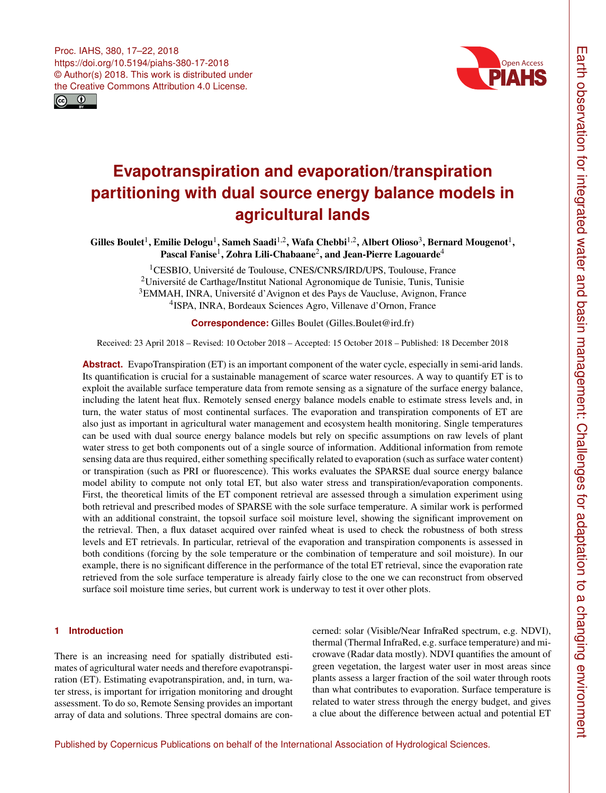<span id="page-0-1"></span>



# **Evapotranspiration and evaporation/transpiration partitioning with dual source energy balance models in agricultural lands**

Gilles Boulet<sup>[1](#page-0-0)</sup>, Emilie Delogu<sup>1</sup>, Sameh Saadi<sup>[1,2](#page-0-0)</sup>, Wafa Chebbi<sup>1,2</sup>, Albert Olioso<sup>[3](#page-0-0)</sup>, Bernard Mougenot<sup>1</sup>, Pascal Fanise $^1$  $^1$ , Zohra Lili-Chabaane $^2$  $^2$ , and Jean-Pierre Lagouarde $^4$  $^4$ 

> <sup>1</sup>CESBIO, Université de Toulouse, CNES/CNRS/IRD/UPS, Toulouse, France Université de Carthage/Institut National Agronomique de Tunisie, Tunis, Tunisie EMMAH, INRA, Université d'Avignon et des Pays de Vaucluse, Avignon, France ISPA, INRA, Bordeaux Sciences Agro, Villenave d'Ornon, France

> > **Correspondence:** Gilles Boulet (Gilles.Boulet@ird.fr)

Received: 23 April 2018 – Revised: 10 October 2018 – Accepted: 15 October 2018 – Published: 18 December 2018

**Abstract.** EvapoTranspiration (ET) is an important component of the water cycle, especially in semi-arid lands. Its quantification is crucial for a sustainable management of scarce water resources. A way to quantify ET is to exploit the available surface temperature data from remote sensing as a signature of the surface energy balance, including the latent heat flux. Remotely sensed energy balance models enable to estimate stress levels and, in turn, the water status of most continental surfaces. The evaporation and transpiration components of ET are also just as important in agricultural water management and ecosystem health monitoring. Single temperatures can be used with dual source energy balance models but rely on specific assumptions on raw levels of plant water stress to get both components out of a single source of information. Additional information from remote sensing data are thus required, either something specifically related to evaporation (such as surface water content) or transpiration (such as PRI or fluorescence). This works evaluates the SPARSE dual source energy balance model ability to compute not only total ET, but also water stress and transpiration/evaporation components. First, the theoretical limits of the ET component retrieval are assessed through a simulation experiment using both retrieval and prescribed modes of SPARSE with the sole surface temperature. A similar work is performed with an additional constraint, the topsoil surface soil moisture level, showing the significant improvement on the retrieval. Then, a flux dataset acquired over rainfed wheat is used to check the robustness of both stress levels and ET retrievals. In particular, retrieval of the evaporation and transpiration components is assessed in both conditions (forcing by the sole temperature or the combination of temperature and soil moisture). In our example, there is no significant difference in the performance of the total ET retrieval, since the evaporation rate retrieved from the sole surface temperature is already fairly close to the one we can reconstruct from observed surface soil moisture time series, but current work is underway to test it over other plots.

## <span id="page-0-0"></span>**1 Introduction**

There is an increasing need for spatially distributed estimates of agricultural water needs and therefore evapotranspiration (ET). Estimating evapotranspiration, and, in turn, water stress, is important for irrigation monitoring and drought assessment. To do so, Remote Sensing provides an important array of data and solutions. Three spectral domains are concerned: solar (Visible/Near InfraRed spectrum, e.g. NDVI), thermal (Thermal InfraRed, e.g. surface temperature) and microwave (Radar data mostly). NDVI quantifies the amount of green vegetation, the largest water user in most areas since plants assess a larger fraction of the soil water through roots than what contributes to evaporation. Surface temperature is related to water stress through the energy budget, and gives a clue about the difference between actual and potential ET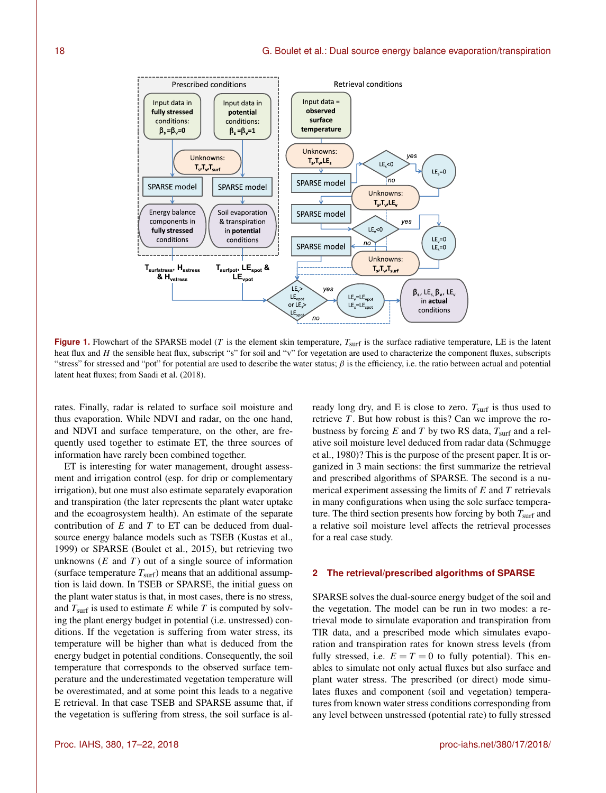

**Figure 1.** Flowchart of the SPARSE model (T is the element skin temperature,  $T<sub>surf</sub>$  is the surface radiative temperature, LE is the latent heat flux and  $H$  the sensible heat flux, subscript "s" for soil and "v" for vegetation are used to characterize the component fluxes, subscripts "stress" for stressed and "pot" for potential are used to describe the water status;  $\beta$  is the efficiency, i.e. the ratio between actual and potential latent heat fluxes; from Saadi et al. (2018).

rates. Finally, radar is related to surface soil moisture and thus evaporation. While NDVI and radar, on the one hand, and NDVI and surface temperature, on the other, are frequently used together to estimate ET, the three sources of information have rarely been combined together.

ET is interesting for water management, drought assessment and irrigation control (esp. for drip or complementary irrigation), but one must also estimate separately evaporation and transpiration (the later represents the plant water uptake and the ecoagrosystem health). An estimate of the separate contribution of  $E$  and  $T$  to  $ET$  can be deduced from dualsource energy balance models such as TSEB (Kustas et al., 1999) or SPARSE (Boulet et al., 2015), but retrieving two unknowns  $(E \text{ and } T)$  out of a single source of information (surface temperature  $T<sub>surf</sub>$ ) means that an additional assumption is laid down. In TSEB or SPARSE, the initial guess on the plant water status is that, in most cases, there is no stress, and  $T<sub>surf</sub>$  is used to estimate E while T is computed by solving the plant energy budget in potential (i.e. unstressed) conditions. If the vegetation is suffering from water stress, its temperature will be higher than what is deduced from the energy budget in potential conditions. Consequently, the soil temperature that corresponds to the observed surface temperature and the underestimated vegetation temperature will be overestimated, and at some point this leads to a negative E retrieval. In that case TSEB and SPARSE assume that, if the vegetation is suffering from stress, the soil surface is already long dry, and E is close to zero.  $T<sub>surf</sub>$  is thus used to retrieve  $T$ . But how robust is this? Can we improve the robustness by forcing E and T by two RS data,  $T<sub>surf</sub>$  and a relative soil moisture level deduced from radar data (Schmugge et al., 1980)? This is the purpose of the present paper. It is organized in 3 main sections: the first summarize the retrieval and prescribed algorithms of SPARSE. The second is a numerical experiment assessing the limits of  $E$  and  $T$  retrievals in many configurations when using the sole surface temperature. The third section presents how forcing by both  $T<sub>surf</sub>$  and a relative soil moisture level affects the retrieval processes for a real case study.

## **2 The retrieval/prescribed algorithms of SPARSE**

SPARSE solves the dual-source energy budget of the soil and the vegetation. The model can be run in two modes: a retrieval mode to simulate evaporation and transpiration from TIR data, and a prescribed mode which simulates evaporation and transpiration rates for known stress levels (from fully stressed, i.e.  $E = T = 0$  to fully potential). This enables to simulate not only actual fluxes but also surface and plant water stress. The prescribed (or direct) mode simulates fluxes and component (soil and vegetation) temperatures from known water stress conditions corresponding from any level between unstressed (potential rate) to fully stressed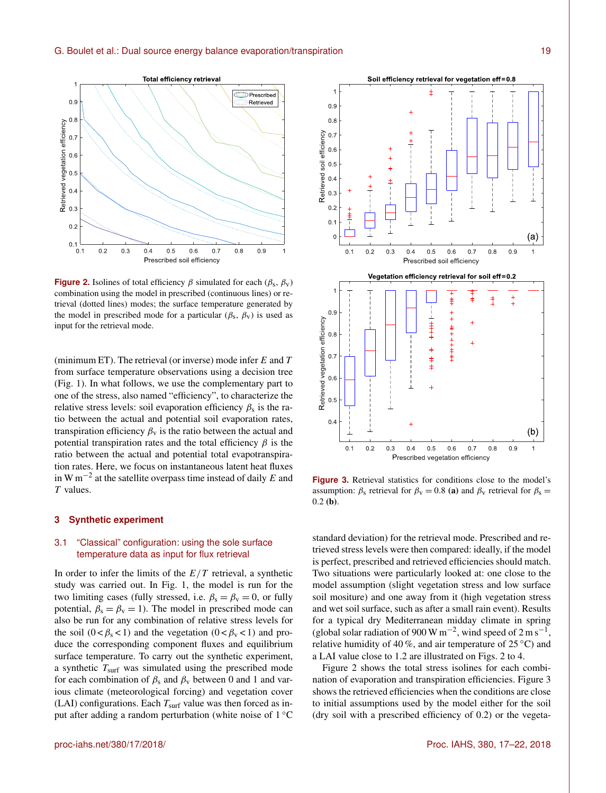

**Figure 2.** Isolines of total efficiency  $\beta$  simulated for each ( $\beta_s$ ,  $\beta_v$ ) combination using the model in prescribed (continuous lines) or retrieval (dotted lines) modes; the surface temperature generated by the model in prescribed mode for a particular ( $\beta_s$ ,  $\beta_v$ ) is used as input for the retrieval mode.

(minimum ET). The retrieval (or inverse) mode infer  $E$  and  $T$ from surface temperature observations using a decision tree (Fig. 1). In what follows, we use the complementary part to one of the stress, also named "efficiency", to characterize the relative stress levels: soil evaporation efficiency  $\beta_s$  is the ratio between the actual and potential soil evaporation rates, transpiration efficiency  $\beta_{v}$  is the ratio between the actual and potential transpiration rates and the total efficiency  $\beta$  is the ratio between the actual and potential total evapotranspiration rates. Here, we focus on instantaneous latent heat fluxes in W m<sup>-2</sup> at the satellite overpass time instead of daily E and T values.

## **3 Synthetic experiment**

## 3.1 "Classical" configuration: using the sole surface temperature data as input for flux retrieval

In order to infer the limits of the  $E/T$  retrieval, a synthetic study was carried out. In Fig. 1, the model is run for the two limiting cases (fully stressed, i.e.  $\beta_s = \beta_v = 0$ , or fully potential,  $\beta_s = \beta_v = 1$ ). The model in prescribed mode can also be run for any combination of relative stress levels for the soil  $(0 < \beta_s < 1)$  and the vegetation  $(0 < \beta_v < 1)$  and produce the corresponding component fluxes and equilibrium surface temperature. To carry out the synthetic experiment, a synthetic  $T<sub>surf</sub>$  was simulated using the prescribed mode for each combination of  $\beta_s$  and  $\beta_v$  between 0 and 1 and various climate (meteorological forcing) and vegetation cover (LAI) configurations. Each  $T<sub>surf</sub>$  value was then forced as input after adding a random perturbation (white noise of 1 ◦C



Figure 3. Retrieval statistics for conditions close to the model's assumption:  $\beta_s$  retrieval for  $\beta_v = 0.8$  (a) and  $\beta_v$  retrieval for  $\beta_s =$  $0.2$  (b).

standard deviation) for the retrieval mode. Prescribed and retrieved stress levels were then compared: ideally, if the model is perfect, prescribed and retrieved efficiencies should match. Two situations were particularly looked at: one close to the model assumption (slight vegetation stress and low surface soil mositure) and one away from it (high vegetation stress and wet soil surface, such as after a small rain event). Results for a typical dry Mediterranean midday climate in spring (global solar radiation of 900 W m<sup>-2</sup>, wind speed of 2 m s<sup>-1</sup>, relative humidity of 40 %, and air temperature of  $25^{\circ}$ C) and a LAI value close to 1.2 are illustrated on Figs. 2 to 4.

Figure 2 shows the total stress isolines for each combination of evaporation and transpiration efficiencies. Figure 3 shows the retrieved efficiencies when the conditions are close to initial assumptions used by the model either for the soil (dry soil with a prescribed efficiency of 0.2) or the vegeta-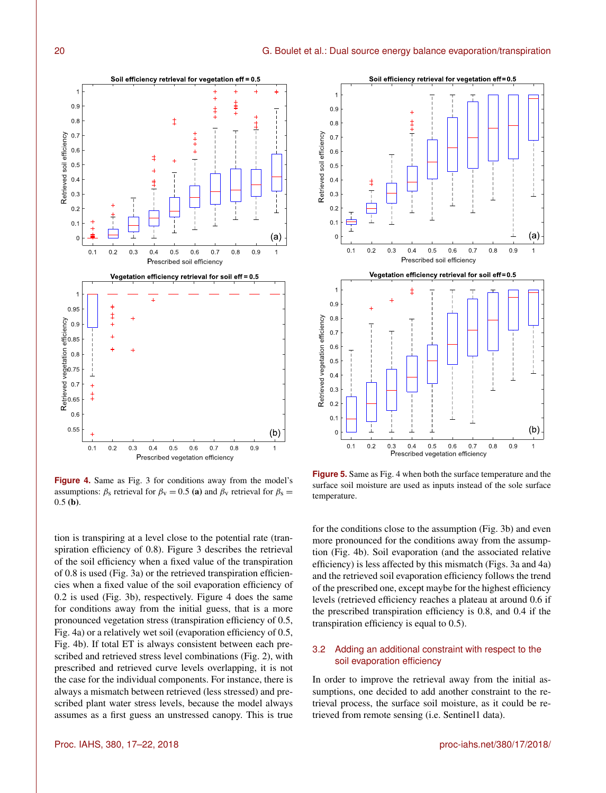

**Figure 4.** Same as Fig. 3 for conditions away from the model's assumptions:  $\beta_s$  retrieval for  $\beta_v = 0.5$  (a) and  $\beta_v$  retrieval for  $\beta_s =$  $0.5$  (b).

tion is transpiring at a level close to the potential rate (transpiration efficiency of 0.8). Figure 3 describes the retrieval of the soil efficiency when a fixed value of the transpiration of 0.8 is used (Fig. 3a) or the retrieved transpiration efficiencies when a fixed value of the soil evaporation efficiency of 0.2 is used (Fig. 3b), respectively. Figure 4 does the same for conditions away from the initial guess, that is a more pronounced vegetation stress (transpiration efficiency of 0.5, Fig. 4a) or a relatively wet soil (evaporation efficiency of 0.5, Fig. 4b). If total ET is always consistent between each prescribed and retrieved stress level combinations (Fig. 2), with prescribed and retrieved curve levels overlapping, it is not the case for the individual components. For instance, there is always a mismatch between retrieved (less stressed) and prescribed plant water stress levels, because the model always assumes as a first guess an unstressed canopy. This is true



**Figure 5.** Same as Fig. 4 when both the surface temperature and the surface soil moisture are used as inputs instead of the sole surface temperature.

for the conditions close to the assumption (Fig. 3b) and even more pronounced for the conditions away from the assumption (Fig. 4b). Soil evaporation (and the associated relative efficiency) is less affected by this mismatch (Figs. 3a and 4a) and the retrieved soil evaporation efficiency follows the trend of the prescribed one, except maybe for the highest efficiency levels (retrieved efficiency reaches a plateau at around 0.6 if the prescribed transpiration efficiency is 0.8, and 0.4 if the transpiration efficiency is equal to 0.5).

# 3.2 Adding an additional constraint with respect to the soil evaporation efficiency

In order to improve the retrieval away from the initial assumptions, one decided to add another constraint to the retrieval process, the surface soil moisture, as it could be retrieved from remote sensing (i.e. Sentinel1 data).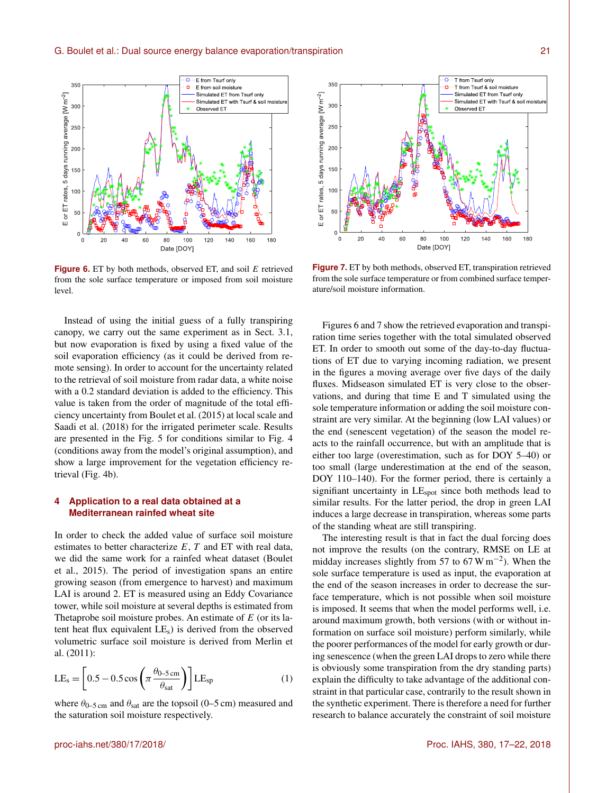

**Figure 6.** ET by both methods, observed ET, and soil E retrieved from the sole surface temperature or imposed from soil moisture level.

Instead of using the initial guess of a fully transpiring canopy, we carry out the same experiment as in Sect. 3.1, but now evaporation is fixed by using a fixed value of the soil evaporation efficiency (as it could be derived from remote sensing). In order to account for the uncertainty related to the retrieval of soil moisture from radar data, a white noise with a 0.2 standard deviation is added to the efficiency. This value is taken from the order of magnitude of the total efficiency uncertainty from Boulet et al. (2015) at local scale and Saadi et al. (2018) for the irrigated perimeter scale. Results are presented in the Fig. 5 for conditions similar to Fig. 4 (conditions away from the model's original assumption), and show a large improvement for the vegetation efficiency retrieval (Fig. 4b).

# **4 Application to a real data obtained at a Mediterranean rainfed wheat site**

In order to check the added value of surface soil moisture estimates to better characterize  $E$ ,  $T$  and  $ET$  with real data, we did the same work for a rainfed wheat dataset (Boulet et al., 2015). The period of investigation spans an entire growing season (from emergence to harvest) and maximum LAI is around 2. ET is measured using an Eddy Covariance tower, while soil moisture at several depths is estimated from Thetaprobe soil moisture probes. An estimate of  $E$  (or its latent heat flux equivalent  $LE<sub>s</sub>$ ) is derived from the observed volumetric surface soil moisture is derived from Merlin et al. (2011):

$$
LE_s = \left[0.5 - 0.5 \cos\left(\pi \frac{\theta_{0-5 \text{ cm}}}{\theta_{\text{sat}}}\right)\right] LE_{\text{sp}}
$$
(1)

where  $\theta_{0-5 \text{ cm}}$  and  $\theta_{\text{sat}}$  are the topsoil (0–5 cm) measured and the saturation soil moisture respectively.



**Figure 7.** ET by both methods, observed ET, transpiration retrieved from the sole surface temperature or from combined surface temperature/soil moisture information.

Figures 6 and 7 show the retrieved evaporation and transpiration time series together with the total simulated observed ET. In order to smooth out some of the day-to-day fluctuations of ET due to varying incoming radiation, we present in the figures a moving average over five days of the daily fluxes. Midseason simulated ET is very close to the observations, and during that time E and T simulated using the sole temperature information or adding the soil moisture constraint are very similar. At the beginning (low LAI values) or the end (senescent vegetation) of the season the model reacts to the rainfall occurrence, but with an amplitude that is either too large (overestimation, such as for DOY 5–40) or too small (large underestimation at the end of the season, DOY 110–140). For the former period, there is certainly a signifiant uncertainty in LE<sub>spot</sub> since both methods lead to similar results. For the latter period, the drop in green LAI induces a large decrease in transpiration, whereas some parts of the standing wheat are still transpiring.

The interesting result is that in fact the dual forcing does not improve the results (on the contrary, RMSE on LE at midday increases slightly from 57 to  $67 \text{ W m}^{-2}$ ). When the sole surface temperature is used as input, the evaporation at the end of the season increases in order to decrease the surface temperature, which is not possible when soil moisture is imposed. It seems that when the model performs well, i.e. around maximum growth, both versions (with or without information on surface soil moisture) perform similarly, while the poorer performances of the model for early growth or during senescence (when the green LAI drops to zero while there is obviously some transpiration from the dry standing parts) explain the difficulty to take advantage of the additional constraint in that particular case, contrarily to the result shown in the synthetic experiment. There is therefore a need for further research to balance accurately the constraint of soil moisture